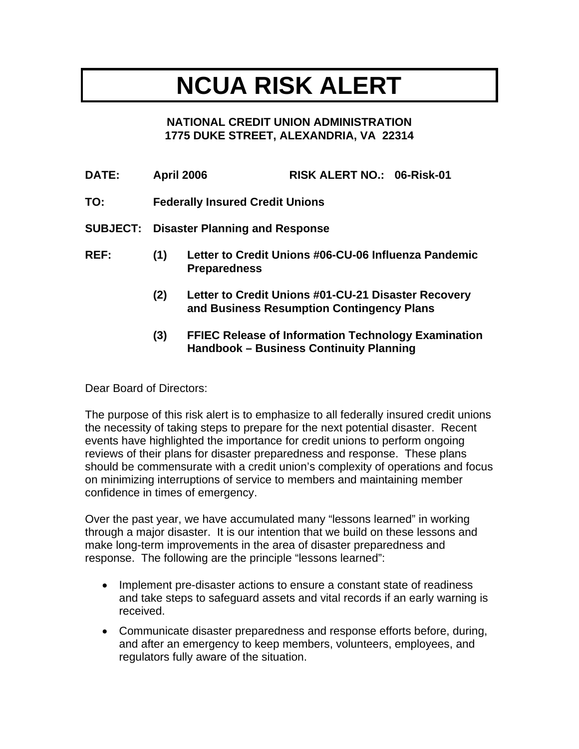## **NCUA RISK ALERT**

## **NATIONAL CREDIT UNION ADMINISTRATION 1775 DUKE STREET, ALEXANDRIA, VA 22314**

| <b>DATE:</b> | <b>April 2006</b>                              |                                                                             | RISK ALERT NO.: 06-Risk-01                                                                            |  |  |
|--------------|------------------------------------------------|-----------------------------------------------------------------------------|-------------------------------------------------------------------------------------------------------|--|--|
| TO:          | <b>Federally Insured Credit Unions</b>         |                                                                             |                                                                                                       |  |  |
|              | <b>SUBJECT: Disaster Planning and Response</b> |                                                                             |                                                                                                       |  |  |
| REF:         | (1)                                            | Letter to Credit Unions #06-CU-06 Influenza Pandemic<br><b>Preparedness</b> |                                                                                                       |  |  |
|              | (2)                                            |                                                                             | Letter to Credit Unions #01-CU-21 Disaster Recovery<br>and Business Resumption Contingency Plans      |  |  |
|              | (3)                                            |                                                                             | <b>FFIEC Release of Information Technology Examination</b><br>Handbook - Business Continuity Planning |  |  |

Dear Board of Directors:

The purpose of this risk alert is to emphasize to all federally insured credit unions the necessity of taking steps to prepare for the next potential disaster. Recent events have highlighted the importance for credit unions to perform ongoing reviews of their plans for disaster preparedness and response. These plans should be commensurate with a credit union's complexity of operations and focus on minimizing interruptions of service to members and maintaining member confidence in times of emergency.

Over the past year, we have accumulated many "lessons learned" in working through a major disaster. It is our intention that we build on these lessons and make long-term improvements in the area of disaster preparedness and response. The following are the principle "lessons learned":

- Implement pre-disaster actions to ensure a constant state of readiness and take steps to safeguard assets and vital records if an early warning is received.
- Communicate disaster preparedness and response efforts before, during, and after an emergency to keep members, volunteers, employees, and regulators fully aware of the situation.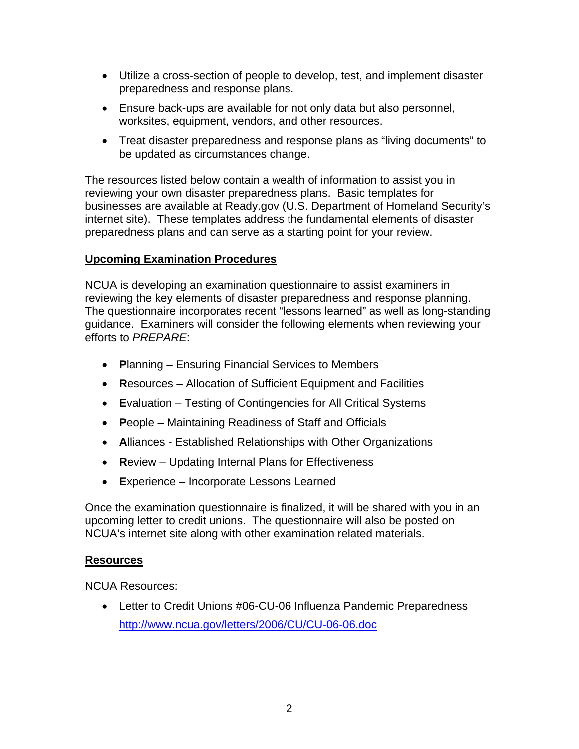- Utilize a cross-section of people to develop, test, and implement disaster preparedness and response plans.
- Ensure back-ups are available for not only data but also personnel, worksites, equipment, vendors, and other resources.
- Treat disaster preparedness and response plans as "living documents" to be updated as circumstances change.

The resources listed below contain a wealth of information to assist you in reviewing your own disaster preparedness plans. Basic templates for businesses are available at Ready.gov (U.S. Department of Homeland Security's internet site). These templates address the fundamental elements of disaster preparedness plans and can serve as a starting point for your review.

## **Upcoming Examination Procedures**

NCUA is developing an examination questionnaire to assist examiners in reviewing the key elements of disaster preparedness and response planning. The questionnaire incorporates recent "lessons learned" as well as long-standing guidance. Examiners will consider the following elements when reviewing your efforts to *PREPARE*:

- **P**lanning Ensuring Financial Services to Members
- **R**esources Allocation of Sufficient Equipment and Facilities
- **E**valuation Testing of Contingencies for All Critical Systems
- **P**eople Maintaining Readiness of Staff and Officials
- **A**lliances Established Relationships with Other Organizations
- **R**eview Updating Internal Plans for Effectiveness
- **E**xperience Incorporate Lessons Learned

Once the examination questionnaire is finalized, it will be shared with you in an upcoming letter to credit unions. The questionnaire will also be posted on NCUA's internet site along with other examination related materials.

## **Resources**

NCUA Resources:

• Letter to Credit Unions #06-CU-06 Influenza Pandemic Preparedness <http://www.ncua.gov/letters/2006/CU/CU-06-06.doc>